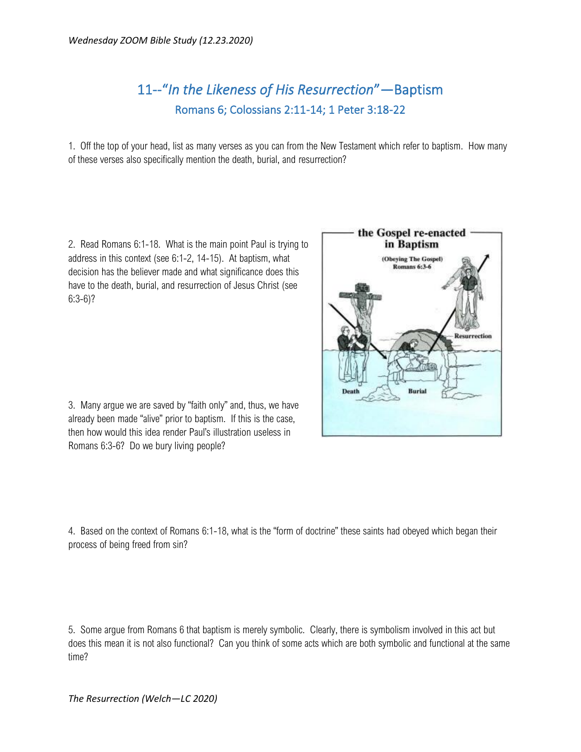## 11--"*In the Likeness of His Resurrection*"—Baptism Romans 6; Colossians 2:11-14; 1 Peter 3:18-22

1. Off the top of your head, list as many verses as you can from the New Testament which refer to baptism. How many of these verses also specifically mention the death, burial, and resurrection?

2. Read Romans 6:1-18. What is the main point Paul is trying to address in this context (see 6:1-2, 14-15). At baptism, what decision has the believer made and what significance does this have to the death, burial, and resurrection of Jesus Christ (see 6:3-6)?

3. Many argue we are saved by "faith only" and, thus, we have already been made "alive" prior to baptism. If this is the case, then how would this idea render Paul's illustration useless in Romans 6:3-6? Do we bury living people?

4. Based on the context of Romans 6:1-18, what is the "form of doctrine" these saints had obeyed which began their process of being freed from sin?

5. Some argue from Romans 6 that baptism is merely symbolic. Clearly, there is symbolism involved in this act but does this mean it is not also functional? Can you think of some acts which are both symbolic and functional at the same time?